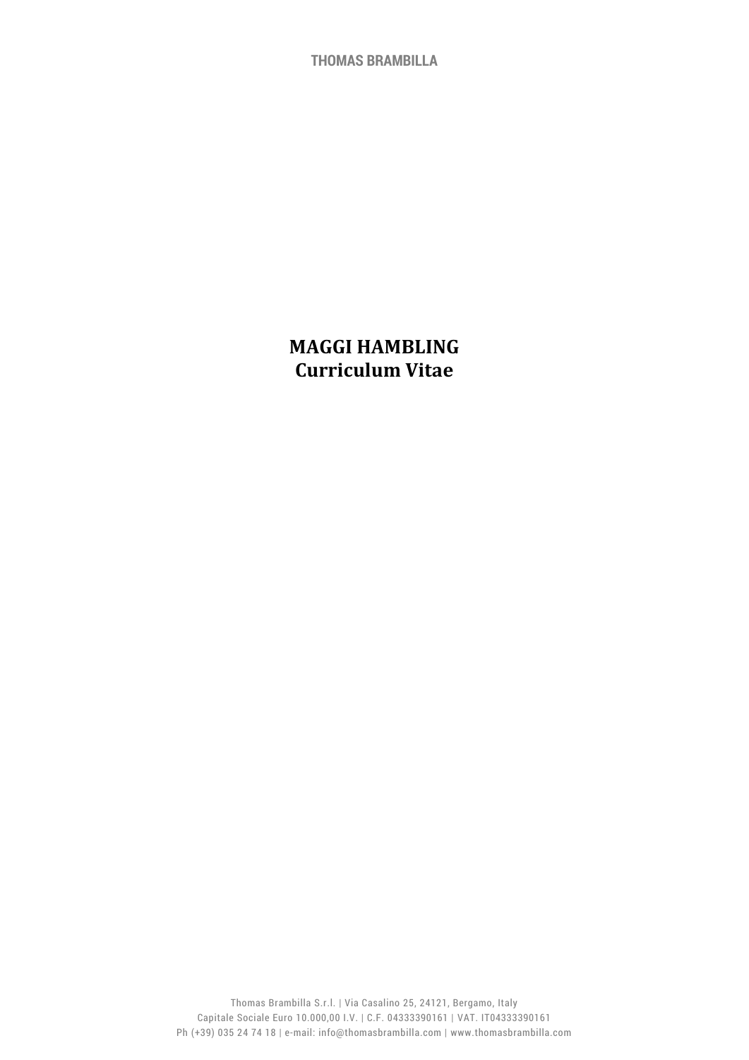**THOMAS BRAMBILLA**

# **MAGGI HAMBLING Curriculum Vitae**

Thomas Brambilla S.r.l. | Via Casalino 25, 24121, Bergamo, Italy Capitale Sociale Euro 10.000,00 I.V. | C.F. 04333390161 | VAT. IT04333390161 Ph (+39) 035 24 74 18 | e-mail: info@thomasbrambilla.com | www.thomasbrambilla.com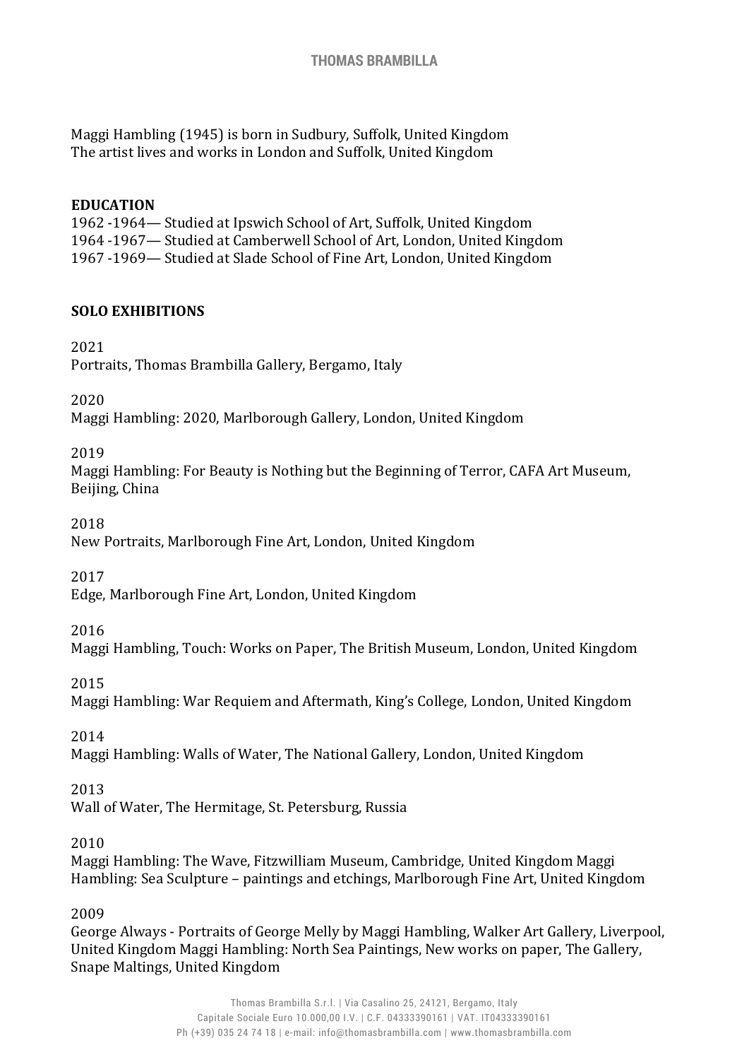Maggi Hambling (1945) is born in Sudbury, Suffolk, United Kingdom The artist lives and works in London and Suffolk, United Kingdom

## **EDUCATION**

1962 -1964— Studied at Ipswich School of Art, Suffolk, United Kingdom 1964 -1967— Studied at Camberwell School of Art, London, United Kingdom 1967 -1969— Studied at Slade School of Fine Art, London, United Kingdom

# **SOLO EXHIBITIONS**

2021

Portraits, Thomas Brambilla Gallery, Bergamo, Italy

2020

Maggi Hambling: 2020, Marlborough Gallery, London, United Kingdom

## 2019

Maggi Hambling: For Beauty is Nothing but the Beginning of Terror, CAFA Art Museum, Beijing, China

2018

New Portraits, Marlborough Fine Art, London, United Kingdom

2017

Edge, Marlborough Fine Art, London, United Kingdom

2016

Maggi Hambling, Touch: Works on Paper, The British Museum, London, United Kingdom

2015

Maggi Hambling: War Requiem and Aftermath, King's College, London, United Kingdom

2014

Maggi Hambling: Walls of Water, The National Gallery, London, United Kingdom

2013

Wall of Water, The Hermitage, St. Petersburg, Russia

2010

Maggi Hambling: The Wave, Fitzwilliam Museum, Cambridge, United Kingdom Maggi Hambling: Sea Sculpture – paintings and etchings, Marlborough Fine Art, United Kingdom

2009

George Always - Portraits of George Melly by Maggi Hambling, Walker Art Gallery, Liverpool, United Kingdom Maggi Hambling: North Sea Paintings, New works on paper, The Gallery, Snape Maltings, United Kingdom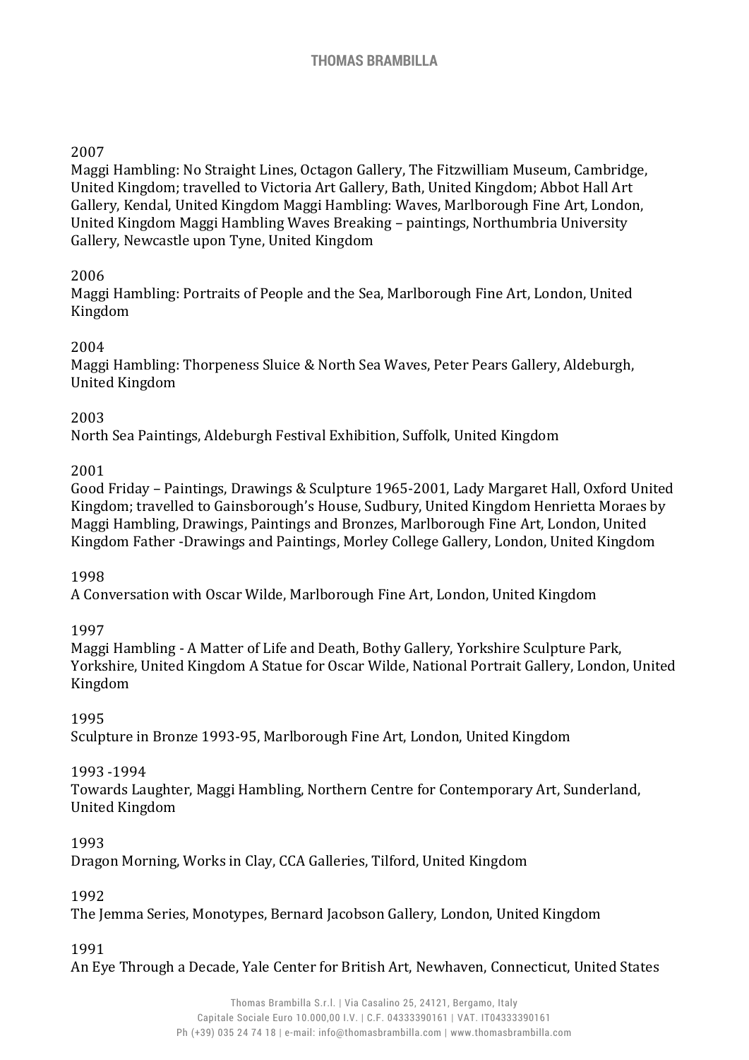# 2007

Maggi Hambling: No Straight Lines, Octagon Gallery, The Fitzwilliam Museum, Cambridge, United Kingdom; travelled to Victoria Art Gallery, Bath, United Kingdom; Abbot Hall Art Gallery, Kendal, United Kingdom Maggi Hambling: Waves, Marlborough Fine Art, London, United Kingdom Maggi Hambling Waves Breaking – paintings, Northumbria University Gallery, Newcastle upon Tyne, United Kingdom

# 2006

Maggi Hambling: Portraits of People and the Sea, Marlborough Fine Art, London, United Kingdom

# 2004

Maggi Hambling: Thorpeness Sluice & North Sea Waves, Peter Pears Gallery, Aldeburgh, United Kingdom

# 2003

North Sea Paintings, Aldeburgh Festival Exhibition, Suffolk, United Kingdom

# 2001

Good Friday – Paintings, Drawings & Sculpture 1965-2001, Lady Margaret Hall, Oxford United Kingdom; travelled to Gainsborough's House, Sudbury, United Kingdom Henrietta Moraes by Maggi Hambling, Drawings, Paintings and Bronzes, Marlborough Fine Art, London, United Kingdom Father -Drawings and Paintings, Morley College Gallery, London, United Kingdom

# 1998

A Conversation with Oscar Wilde, Marlborough Fine Art, London, United Kingdom

# 1997

Maggi Hambling - A Matter of Life and Death, Bothy Gallery, Yorkshire Sculpture Park, Yorkshire, United Kingdom A Statue for Oscar Wilde, National Portrait Gallery, London, United Kingdom

# 1995

Sculpture in Bronze 1993-95, Marlborough Fine Art, London, United Kingdom

# 1993 -1994

Towards Laughter, Maggi Hambling, Northern Centre for Contemporary Art, Sunderland, United Kingdom

# 1993

Dragon Morning, Works in Clay, CCA Galleries, Tilford, United Kingdom

# 1992

The Jemma Series, Monotypes, Bernard Jacobson Gallery, London, United Kingdom

#### 1991

An Eye Through a Decade, Yale Center for British Art, Newhaven, Connecticut, United States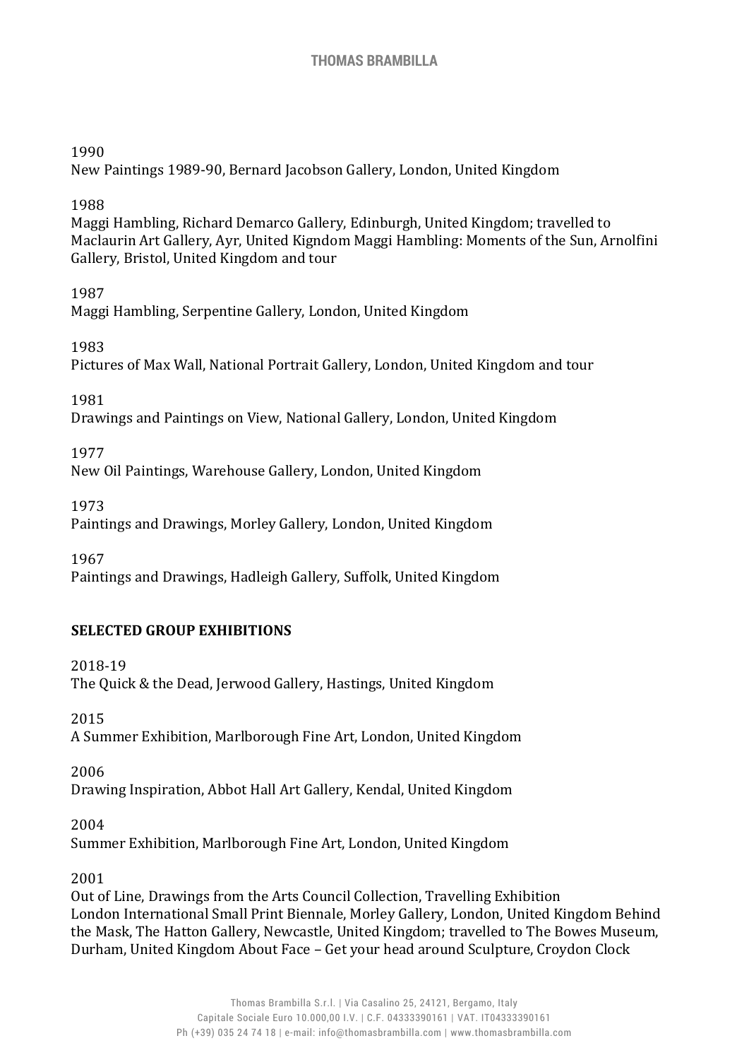## 1990

New Paintings 1989-90, Bernard Jacobson Gallery, London, United Kingdom

# 1988

Maggi Hambling, Richard Demarco Gallery, Edinburgh, United Kingdom; travelled to Maclaurin Art Gallery, Ayr, United Kigndom Maggi Hambling: Moments of the Sun, Arnolfini Gallery, Bristol, United Kingdom and tour

# 1987

Maggi Hambling, Serpentine Gallery, London, United Kingdom

# 1983

Pictures of Max Wall, National Portrait Gallery, London, United Kingdom and tour

1981

Drawings and Paintings on View, National Gallery, London, United Kingdom

1977

New Oil Paintings, Warehouse Gallery, London, United Kingdom

1973

Paintings and Drawings, Morley Gallery, London, United Kingdom

1967

Paintings and Drawings, Hadleigh Gallery, Suffolk, United Kingdom

# **SELECTED GROUP EXHIBITIONS**

2018-19 The Quick & the Dead, Jerwood Gallery, Hastings, United Kingdom

2015 A Summer Exhibition, Marlborough Fine Art, London, United Kingdom

2006 Drawing Inspiration, Abbot Hall Art Gallery, Kendal, United Kingdom

2004 Summer Exhibition, Marlborough Fine Art, London, United Kingdom

# 2001

Out of Line, Drawings from the Arts Council Collection, Travelling Exhibition London International Small Print Biennale, Morley Gallery, London, United Kingdom Behind the Mask, The Hatton Gallery, Newcastle, United Kingdom; travelled to The Bowes Museum, Durham, United Kingdom About Face – Get your head around Sculpture, Croydon Clock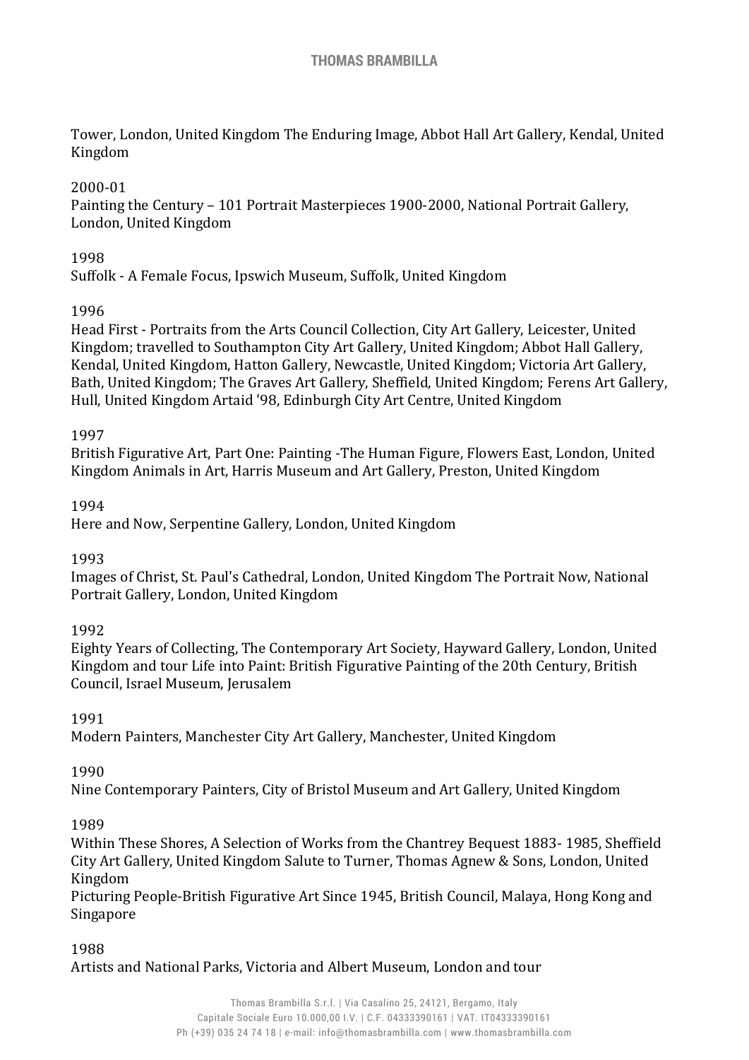Tower, London, United Kingdom The Enduring Image, Abbot Hall Art Gallery, Kendal, United Kingdom

# 2000-01

Painting the Century – 101 Portrait Masterpieces 1900-2000, National Portrait Gallery, London, United Kingdom

## 1998

Suffolk - A Female Focus, Ipswich Museum, Suffolk, United Kingdom

## 1996

Head First - Portraits from the Arts Council Collection, City Art Gallery, Leicester, United Kingdom; travelled to Southampton City Art Gallery, United Kingdom; Abbot Hall Gallery, Kendal, United Kingdom, Hatton Gallery, Newcastle, United Kingdom; Victoria Art Gallery, Bath, United Kingdom; The Graves Art Gallery, Sheffield, United Kingdom; Ferens Art Gallery, Hull, United Kingdom Artaid '98, Edinburgh City Art Centre, United Kingdom

#### 1997

British Figurative Art, Part One: Painting -The Human Figure, Flowers East, London, United Kingdom Animals in Art, Harris Museum and Art Gallery, Preston, United Kingdom

## 1994

Here and Now, Serpentine Gallery, London, United Kingdom

# 1993

Images of Christ, St. Paul's Cathedral, London, United Kingdom The Portrait Now, National Portrait Gallery, London, United Kingdom

#### 1992

Eighty Years of Collecting, The Contemporary Art Society, Hayward Gallery, London, United Kingdom and tour Life into Paint: British Figurative Painting of the 20th Century, British Council, Israel Museum, Jerusalem

#### 1991

Modern Painters, Manchester City Art Gallery, Manchester, United Kingdom

#### 1990

Nine Contemporary Painters, City of Bristol Museum and Art Gallery, United Kingdom

#### 1989

Within These Shores, A Selection of Works from the Chantrey Bequest 1883- 1985, Sheffield City Art Gallery, United Kingdom Salute to Turner, Thomas Agnew & Sons, London, United Kingdom

Picturing People-British Figurative Art Since 1945, British Council, Malaya, Hong Kong and Singapore

#### 1988

Artists and National Parks, Victoria and Albert Museum, London and tour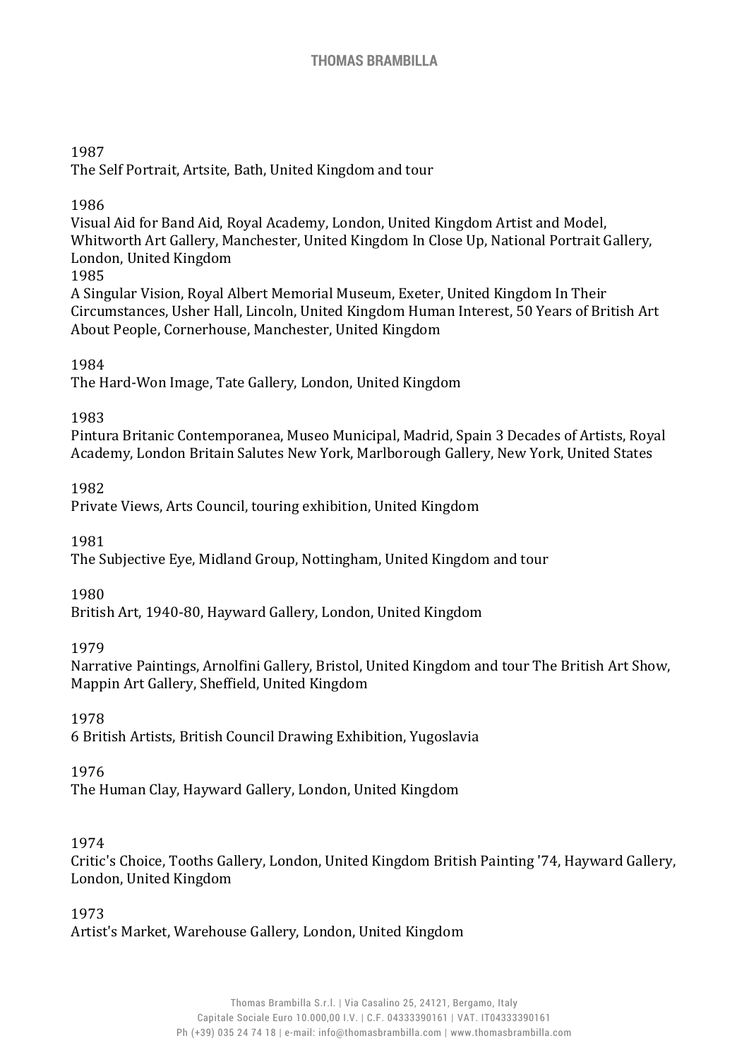#### 1987 The Self Portrait, Artsite, Bath, United Kingdom and tour

1986

Visual Aid for Band Aid, Royal Academy, London, United Kingdom Artist and Model, Whitworth Art Gallery, Manchester, United Kingdom In Close Up, National Portrait Gallery, London, United Kingdom

1985

A Singular Vision, Royal Albert Memorial Museum, Exeter, United Kingdom In Their Circumstances, Usher Hall, Lincoln, United Kingdom Human Interest, 50 Years of British Art About People, Cornerhouse, Manchester, United Kingdom

## 1984

The Hard-Won Image, Tate Gallery, London, United Kingdom

## 1983

Pintura Britanic Contemporanea, Museo Municipal, Madrid, Spain 3 Decades of Artists, Royal Academy, London Britain Salutes New York, Marlborough Gallery, New York, United States

1982

Private Views, Arts Council, touring exhibition, United Kingdom

1981

The Subjective Eye, Midland Group, Nottingham, United Kingdom and tour

1980

British Art, 1940-80, Hayward Gallery, London, United Kingdom

1979

Narrative Paintings, Arnolfini Gallery, Bristol, United Kingdom and tour The British Art Show, Mappin Art Gallery, Sheffield, United Kingdom

1978

6 British Artists, British Council Drawing Exhibition, Yugoslavia

1976

The Human Clay, Hayward Gallery, London, United Kingdom

#### 1974

Critic's Choice, Tooths Gallery, London, United Kingdom British Painting '74, Hayward Gallery, London, United Kingdom

1973

Artist's Market, Warehouse Gallery, London, United Kingdom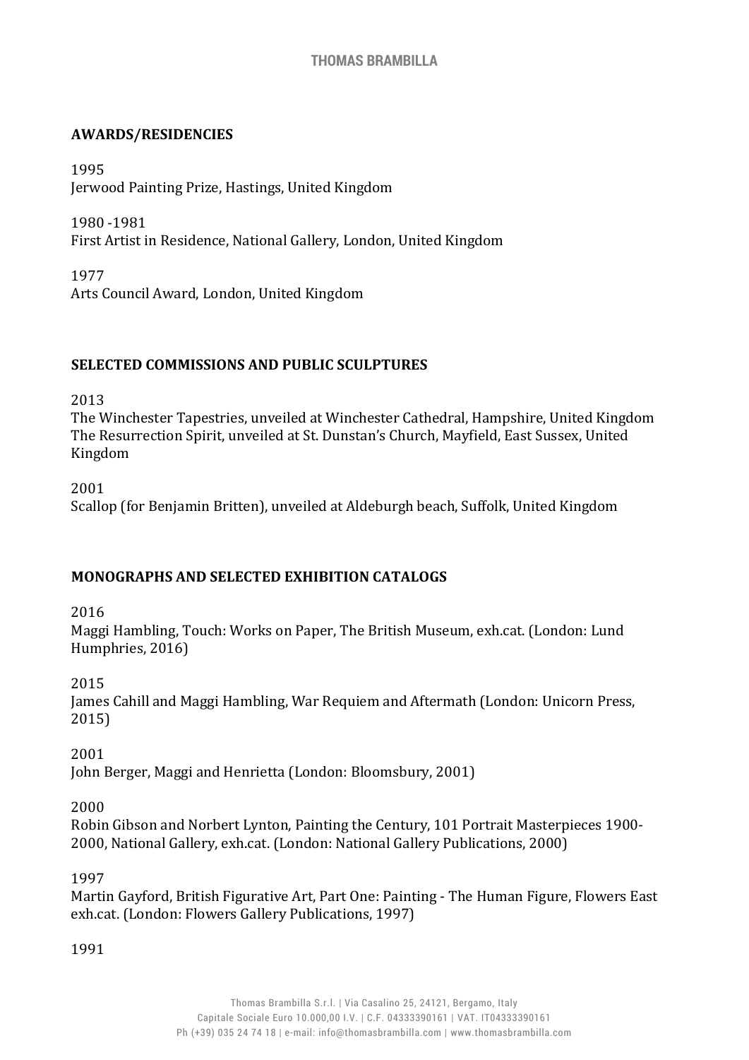## **AWARDS/RESIDENCIES**

1995 Jerwood Painting Prize, Hastings, United Kingdom

1980 -1981 First Artist in Residence, National Gallery, London, United Kingdom

1977 Arts Council Award, London, United Kingdom

## **SELECTED COMMISSIONS AND PUBLIC SCULPTURES**

2013

The Winchester Tapestries, unveiled at Winchester Cathedral, Hampshire, United Kingdom The Resurrection Spirit, unveiled at St. Dunstan's Church, Mayfield, East Sussex, United Kingdom

2001 Scallop (for Benjamin Britten), unveiled at Aldeburgh beach, Suffolk, United Kingdom

# **MONOGRAPHS AND SELECTED EXHIBITION CATALOGS**

2016

Maggi Hambling, Touch: Works on Paper, The British Museum, exh.cat. (London: Lund Humphries, 2016)

2015

James Cahill and Maggi Hambling, War Requiem and Aftermath (London: Unicorn Press, 2015)

2001

John Berger, Maggi and Henrietta (London: Bloomsbury, 2001)

#### 2000

Robin Gibson and Norbert Lynton, Painting the Century, 101 Portrait Masterpieces 1900- 2000, National Gallery, exh.cat. (London: National Gallery Publications, 2000)

### 1997

Martin Gayford, British Figurative Art, Part One: Painting - The Human Figure, Flowers East exh.cat. (London: Flowers Gallery Publications, 1997)

1991